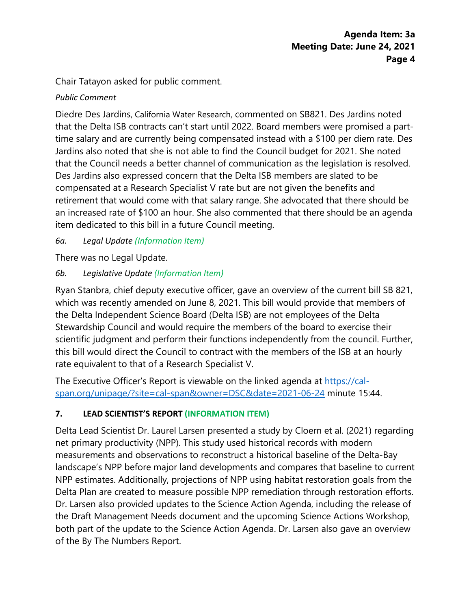Chair Tatayon asked for public comment.

# Public Comment

Diedre Des Jardins, California Water Research, commented on SB821. Des Jardins noted that the Delta ISB contracts can't start until 2022. Board members were promised a part-time salary and are currently being compensated instead with a \$100 per diem rate. Des Jardins also noted that she is not able to find the Council budget for 2021. She noted that the Council needs a better channel of communication as the legislation is resolved. Des Jardins also expressed concern that the Delta ISB members are slated to be compensated at a Research Specialist V rate but are not given the benefits and retirement that would come with that salary range. She advocated that there should be an increased rate of \$100 an hour. She also commented that there should be an agenda item dedicated to this bill in a future Council meeting.

6a. Legal Update (Information Item)

There was no Legal Update.

6b. Legislative Update (Information Item)

Ryan Stanbra, chief deputy executive officer, gave an overview of the current bill SB 821, which was recently amended on June 8, 2021. This bill would provide that members of the Delta Independent Science Board (Delta ISB) are not employees of the Delta Stewardship Council and would require the members of the board to exercise their scientific judgment and perform their functions independently from the council. Further, this bill would direct the Council to contract with the members of the ISB at an hourly rate equivalent to that of a Research Sp[ecialist V.](https://cal-span.org/unipage/?site=cal-span&owner=DSC&date=2021-06-24) 

[The Executive Officer's](https://cal-span.org/unipage/?site=cal-span&owner=DSC&date=2021-06-24) Report is viewable on the linked agenda at https://calspan.org/unipage/?site=cal-span&owner=DSC&date=2021-06-24 minute 15:44.<br>7. LEAD SCIENTIST'S REPORT (INFORMATION ITEM) LEAD SCIENTIST'S REPORT (INFORMATION ITEM)

Delta Lead Scientist Dr. Laurel Larsen presented a study by Cloern et al. (2021) regarding net primary productivity (NPP). This study used historical records with modern measurements and observations to reconstruct a historical baseline of the Delta-Bay landscape's NPP before major land developments and compares that NPP estimates. Additionally, projections of NPP using habitat restoration goals from the Delta Plan are created to measure possible NPP remediation through restoration efforts. Dr. Larsen also provided updates to the Science Action Agenda, including the release of the Draft Management Needs document and the upcoming Science Actions Workshop, both part of the update to the Science Action Agenda. Dr. Larsen also gave an overview of the By The Numbers Report.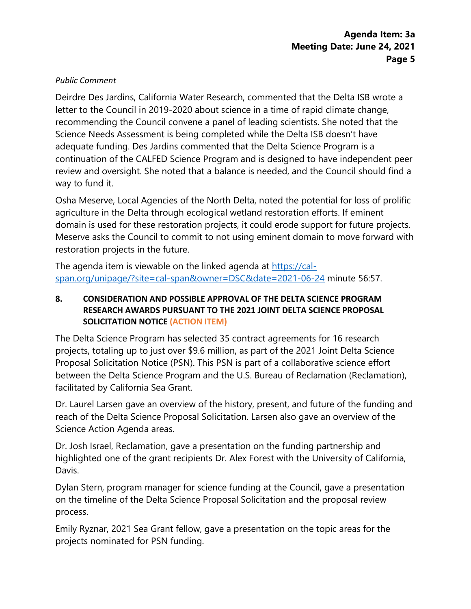#### Public Comment

Deirdre Des Jardins, California Water Research, commented that the Delta ISB wrote a letter to the Council in 2019-2020 about science in a time of rapid climate change, recommending the Council convene a panel of leading scientists. She noted that the Science Needs Assessment is being completed while the Delta ISB doesn't have adequate funding. Des Jardins commented that the Delta Science Program is a continuation of the CALFED Science Program and is designed to have independent peer review and oversight. She noted that a balance is needed, and the Council should find a way to fund it.

Osha Meserve, Local Agencies of the North Delta, noted the potential for loss of prolific agriculture in the Delta through ecological wetland restoration efforts. If eminent domain is used for these restoration projects, it could erode support for future projects. Meserve asks the Council to commit to not using eminent domain to move forward with restoration projects in the future.

The agenda item is viewable on the linked agenda [at https://cal](https://cal-span.org/unipage/?site=cal-span&owner=DSC&date=2021-06-24)[span.org/unipage/?site=cal-span&owner=DSC&date=2021-06-2](https://cal-span.org/unipage/?site=cal-span&owner=DSC&date=2021-06-24)4 minute 56:57.

## 8. CONSIDERATION AND POSSIBLE APPROVAL OF THE DELTA SCIENCE PROGRAM RESEARCH AWARDS PURSUANT TO THE 2021 JOINT DELTA SCIENCE PROPOSAL SOLICITATION NOTICE (ACTION ITEM)

The Delta Science Program has selected 35 contract agreements for 16 research projects, totaling up to just over \$9.6 million, as part of the 2021 Joint Delta Science Proposal Solicitation Notice (PSN). This PSN is part of a collaborative science effort between the Delta Science Program and the U.S. Bureau of Reclamation (Reclamation), facilitated by California Sea Grant.

Dr. Laurel Larsen gave an overview of the history, present, and future of the funding and reach of the Delta Science Proposal Solicitation. Larsen also gave an overview of the Science Action Agenda areas.

Dr. Josh Israel, Reclamation, gave a presentation on the funding partnership and highlighted one of the grant recipients Dr. Alex Forest with the University of California, Davis.

Dylan Stern, program manager for science funding at the Council, gave a presentation on the timeline of the Delta Science Proposal Solicitation and the proposal review process.

Emily Ryznar, 2021 Sea Grant fellow, gave a presentation on the topic areas for the projects nominated for PSN funding.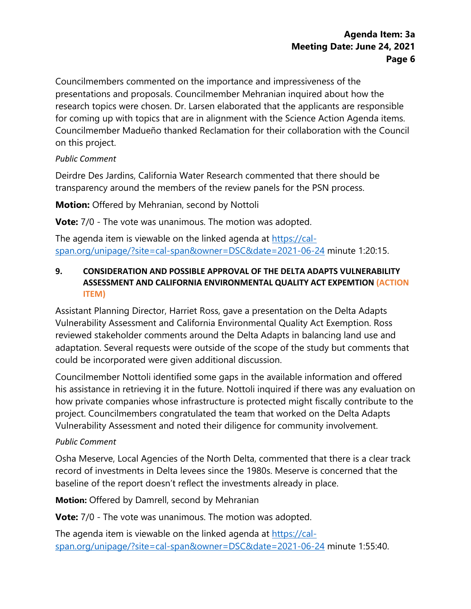Councilmembers commented on the importance and impressiveness of the presentations and proposals. Councilmember Mehranian inquired about how the research topics were chosen. Dr. Larsen elaborated that the applicants are responsible for coming up with topics that are in alignment with the Science Action Agenda items. Councilmember Madueño thanked Reclamation for their collaboration with the Council on this project.

### Public Comment

Deirdre Des Jardins, California Water Research, commented that there should be transparency around the members of the review panels for the PSN process.

**Motion:** Offered by Mehranian, second by Nottoli

**Vote:** 7/0 - The vote was unanimous. The motion was adopted.

The agenda item is viewable on the linked agenda [at https://cal](https://cal-span.org/unipage/?site=cal-span&owner=DSC&date=2021-06-24)[span.org/unipage/?site=cal-span&owner=DSC&date=2021-06-2](https://cal-span.org/unipage/?site=cal-span&owner=DSC&date=2021-06-24)4 minute 1:20:15.

## 9. CONSIDERATION AND POSSIBLE APPROVAL OF THE DELTA ADAPTS VULNERABILITY ASSESSMENT AND CALIFORNIA ENVIRONMENTAL QUALITY ACT EXPEMTION (ACTION ITEM)

Assistant Planning Director, Harriet Ross, gave a presentation on the Delta Adapts Vulnerability Assessment and California Environmental Quality Act Exemption. Ross reviewed stakeholder comments around the Delta Adapts in balancing land use and adaptation. Several requests were outside of the scope of the study but comments that could be incorporated were given additional discussion.

Councilmember Nottoli identified some gaps in the available information and offered his assistance in retrieving it in the future. Nottoli inquired if there was any evaluation on how private companies whose infrastructure is protected might fiscally contribute to the project. Councilmembers congratulated the team that worked on the Delta Adapts Vulnerability Assessment and noted their diligence for community involvement.

## Public Comment

Osha Meserve, Local Agencies of the North Delta, commented that there is a clear track record of investments in Delta levees since the 1980s. Meserve is concerned that the baseline of the report doesn't reflect the investments already in place.

**Motion:** Offered by Damrell, second by Mehranian

**Vote:** 7/0 - The vote was unanimous. The motion [was adopted.](https://cal-span.org/unipage/?site=cal-span&owner=DSC&date=2021-06-24) 

[The agenda item is viewable on](https://cal-span.org/unipage/?site=cal-span&owner=DSC&date=2021-06-24) the linked agenda at https://calspan.org/unipage/?site=cal-span&owner=DSC&date=2021-06-24 minute 1:55:40.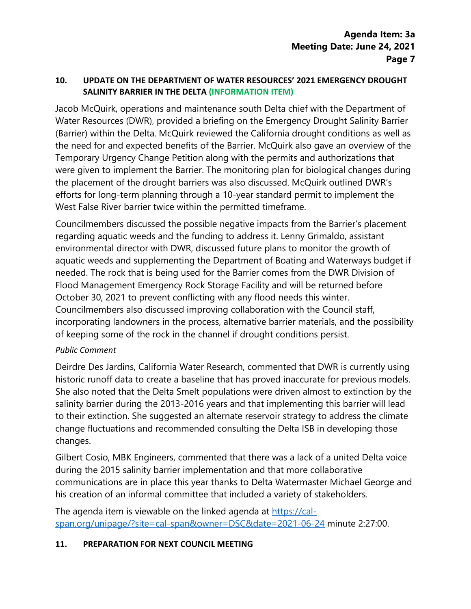## 10. UPDATE ON THE DEPARTMENT OF WATER RESOURCES' 2021 EMERGENCY DROUGHT SALINITY BARRIER IN THE DELTA (INFORMATION ITEM)

Jacob McQuirk, operations and maintenance south Delta chief with the Department of Water Resources (DWR), provided a briefing on the Emergency Drought Salinity Barrier (Barrier) within the Delta. McQuirk reviewed the California drought conditions as well as the need for and expected benefits of the Barrier. McQuirk also gave an overview of the Temporary Urgency Change Petition along with the permits and authorizations that were given to implement the Barrier. The monitoring plan for biological changes during the placement of the drought barriers was also discussed. McQuirk outlined DWR's efforts for long-term planning through a 10-year standard permit to implement the West False River barrier twice within the permitted timeframe.

Councilmembers discussed the possible negative impacts from the Barrier's placement regarding aquatic weeds and the funding to address it. Lenny Grimaldo, assistant environmental director with DWR, discussed future plans to monitor the growth of aquatic weeds and supplementing the Department of Boating and Waterways budget if needed. The rock that is being used for the Barrier comes from the DWR Division of Flood Management Emergency Rock Storage Facility and will be returned before October 30, 2021 to prevent conflicting with any flood needs this winter. Councilmembers also discussed improving collaboration with the Council staff, incorporating landowners in the process, alternative barrier materials, and the possibility of keeping some of the rock in the channel if drought conditions persist.

#### Public Comment

Deirdre Des Jardins, California Water Research, commented that DWR is currently using historic runoff data to create a baseline that has proved inaccurate for previous models. She also noted that the Delta Smelt populations were driven almost to extinction by the salinity barrier during the 2013-2016 years and that implementing this barrier will lead to their extinction. She suggested an alternate reservoir strategy to address the climate change fluctuations and recommended consulting the Delta ISB in developing those changes.

Gilbert Cosio, MBK Engineers, commented that there was a lack of a united Delta voice during the 2015 salinity barrier implementation and that more collaborative communications are in place this year thanks to D[elta Watermaster Michael](https://cal-span.org/unipage/?site=cal-span&owner=DSC&date=2021-06-24)  George and his creation of [an informal committee](https://cal-span.org/unipage/?site=cal-span&owner=DSC&date=2021-06-24) that included a variety of stakeholders.

The agenda item is viewable on the linked agenda at https://calspan.org/unipage/?site=cal-span&owner=DSC&date=2021-06-24 minute 2:27:00.